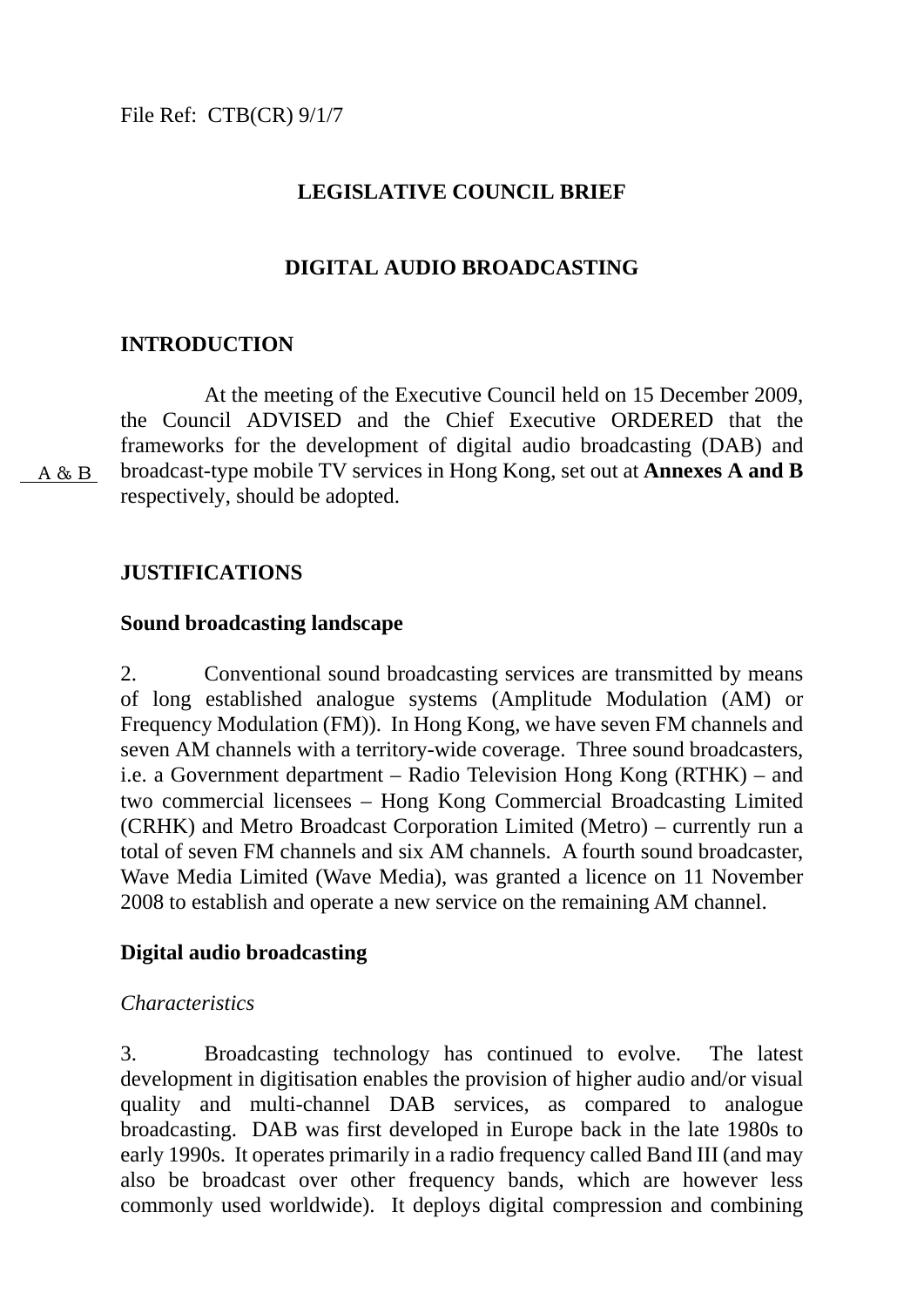# **LEGISLATIVE COUNCIL BRIEF**

# **DIGITAL AUDIO BROADCASTING**

# **INTRODUCTION**

 At the meeting of the Executive Council held on 15 December 2009, the Council ADVISED and the Chief Executive ORDERED that the frameworks for the development of digital audio broadcasting (DAB) and broadcast-type mobile TV services in Hong Kong, set out at **Annexes A and B** respectively, should be adopted.

A & B

# **JUSTIFICATIONS**

### **Sound broadcasting landscape**

2. Conventional sound broadcasting services are transmitted by means of long established analogue systems (Amplitude Modulation (AM) or Frequency Modulation (FM)). In Hong Kong, we have seven FM channels and seven AM channels with a territory-wide coverage. Three sound broadcasters, i.e. a Government department – Radio Television Hong Kong (RTHK) – and two commercial licensees – Hong Kong Commercial Broadcasting Limited (CRHK) and Metro Broadcast Corporation Limited (Metro) – currently run a total of seven FM channels and six AM channels. A fourth sound broadcaster, Wave Media Limited (Wave Media), was granted a licence on 11 November 2008 to establish and operate a new service on the remaining AM channel.

### **Digital audio broadcasting**

### *Characteristics*

3. Broadcasting technology has continued to evolve. The latest development in digitisation enables the provision of higher audio and/or visual quality and multi-channel DAB services, as compared to analogue broadcasting. DAB was first developed in Europe back in the late 1980s to early 1990s. It operates primarily in a radio frequency called Band III (and may also be broadcast over other frequency bands, which are however less commonly used worldwide). It deploys digital compression and combining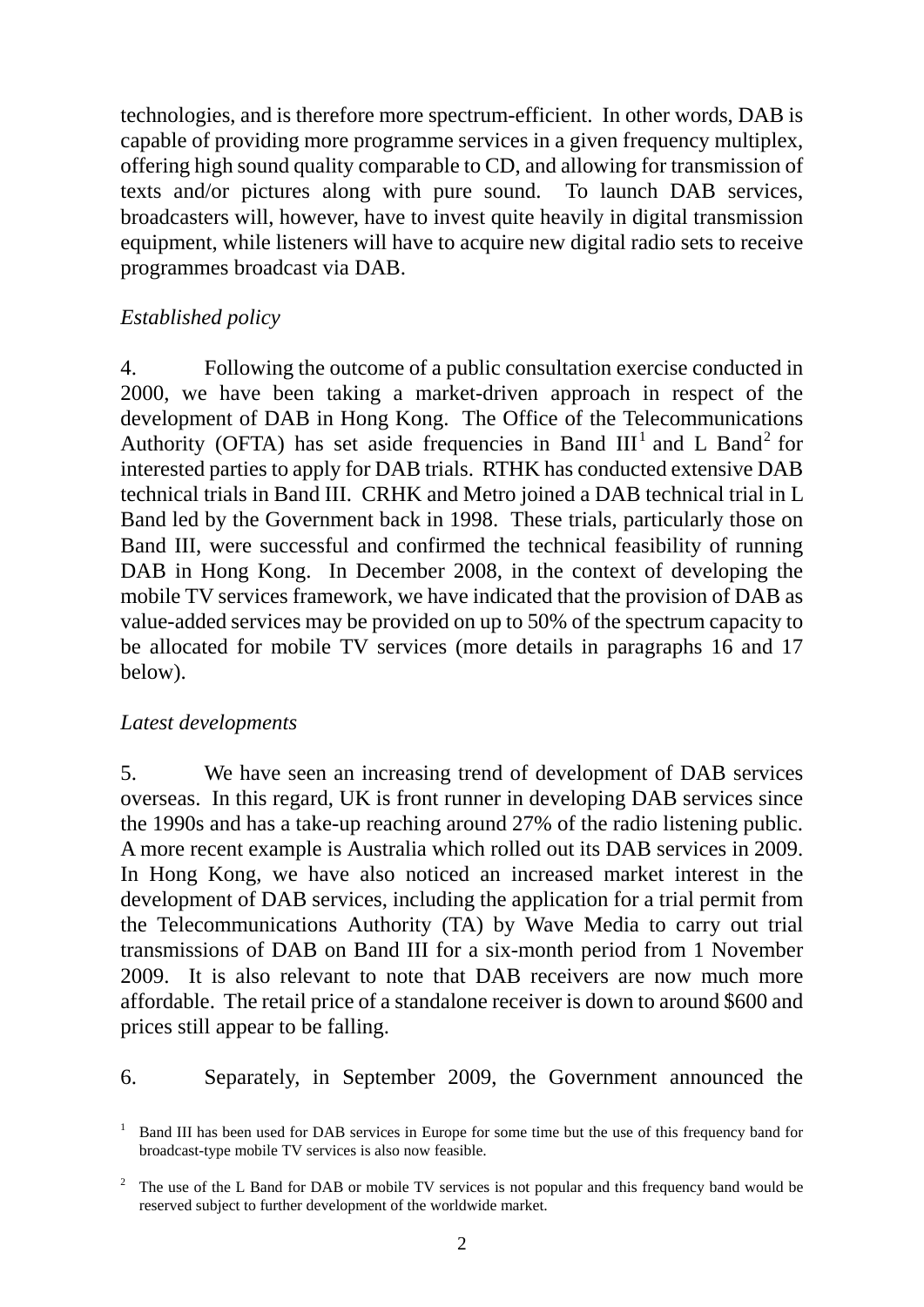technologies, and is therefore more spectrum-efficient. In other words, DAB is capable of providing more programme services in a given frequency multiplex, offering high sound quality comparable to CD, and allowing for transmission of texts and/or pictures along with pure sound. To launch DAB services, broadcasters will, however, have to invest quite heavily in digital transmission equipment, while listeners will have to acquire new digital radio sets to receive programmes broadcast via DAB.

# *Established policy*

4. Following the outcome of a public consultation exercise conducted in 2000, we have been taking a market-driven approach in respect of the development of DAB in Hong Kong. The Office of the Telecommunications Authority (OFTA) has set aside frequencies in Band  $III<sup>1</sup>$  and L Band<sup>2</sup> for interested parties to apply for DAB trials. RTHK has conducted extensive DAB technical trials in Band III. CRHK and Metro joined a DAB technical trial in L Band led by the Government back in 1998. These trials, particularly those on Band III, were successful and confirmed the technical feasibility of running DAB in Hong Kong. In December 2008, in the context of developing the mobile TV services framework, we have indicated that the provision of DAB as value-added services may be provided on up to 50% of the spectrum capacity to be allocated for mobile TV services (more details in paragraphs 16 and 17 below).

### *Latest developments*

5. We have seen an increasing trend of development of DAB services overseas. In this regard, UK is front runner in developing DAB services since the 1990s and has a take-up reaching around 27% of the radio listening public. A more recent example is Australia which rolled out its DAB services in 2009. In Hong Kong, we have also noticed an increased market interest in the development of DAB services, including the application for a trial permit from the Telecommunications Authority (TA) by Wave Media to carry out trial transmissions of DAB on Band III for a six-month period from 1 November 2009. It is also relevant to note that DAB receivers are now much more affordable. The retail price of a standalone receiver is down to around \$600 and prices still appear to be falling.

# 6. Separately, in September 2009, the Government announced the

<sup>&</sup>lt;sup>1</sup> Band III has been used for DAB services in Europe for some time but the use of this frequency band for broadcast-type mobile TV services is also now feasible.

<sup>2</sup> The use of the L Band for DAB or mobile TV services is not popular and this frequency band would be reserved subject to further development of the worldwide market.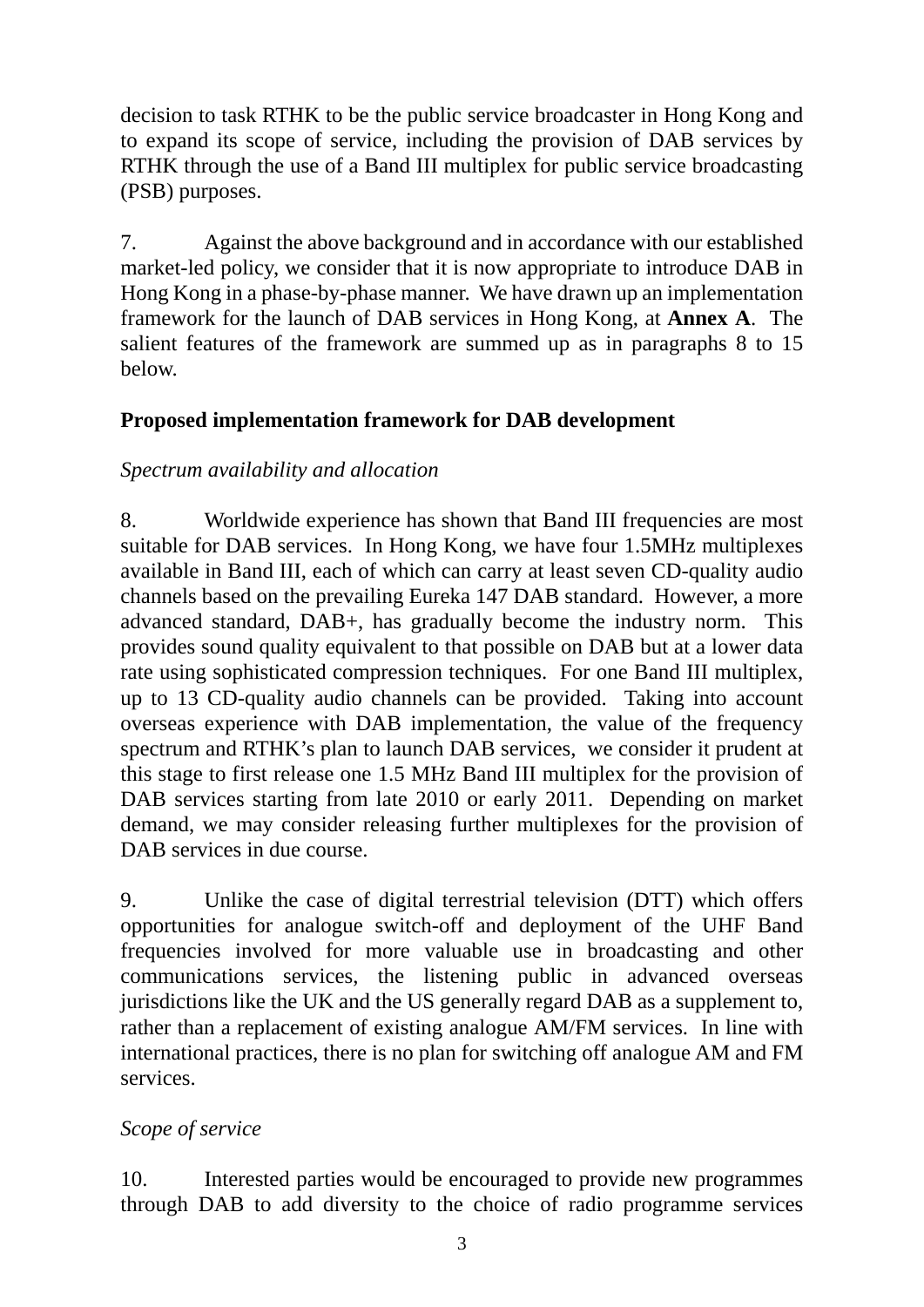decision to task RTHK to be the public service broadcaster in Hong Kong and to expand its scope of service, including the provision of DAB services by RTHK through the use of a Band III multiplex for public service broadcasting (PSB) purposes.

7. Against the above background and in accordance with our established market-led policy, we consider that it is now appropriate to introduce DAB in Hong Kong in a phase-by-phase manner. We have drawn up an implementation framework for the launch of DAB services in Hong Kong, at **Annex A**. The salient features of the framework are summed up as in paragraphs 8 to 15 below.

# **Proposed implementation framework for DAB development**

# *Spectrum availability and allocation*

8. Worldwide experience has shown that Band III frequencies are most suitable for DAB services. In Hong Kong, we have four 1.5MHz multiplexes available in Band III, each of which can carry at least seven CD-quality audio channels based on the prevailing Eureka 147 DAB standard. However, a more advanced standard, DAB+, has gradually become the industry norm. This provides sound quality equivalent to that possible on DAB but at a lower data rate using sophisticated compression techniques. For one Band III multiplex, up to 13 CD-quality audio channels can be provided. Taking into account overseas experience with DAB implementation, the value of the frequency spectrum and RTHK's plan to launch DAB services, we consider it prudent at this stage to first release one 1.5 MHz Band III multiplex for the provision of DAB services starting from late 2010 or early 2011. Depending on market demand, we may consider releasing further multiplexes for the provision of DAB services in due course.

9. Unlike the case of digital terrestrial television (DTT) which offers opportunities for analogue switch-off and deployment of the UHF Band frequencies involved for more valuable use in broadcasting and other communications services, the listening public in advanced overseas jurisdictions like the UK and the US generally regard DAB as a supplement to, rather than a replacement of existing analogue AM/FM services. In line with international practices, there is no plan for switching off analogue AM and FM services.

# *Scope of service*

10. Interested parties would be encouraged to provide new programmes through DAB to add diversity to the choice of radio programme services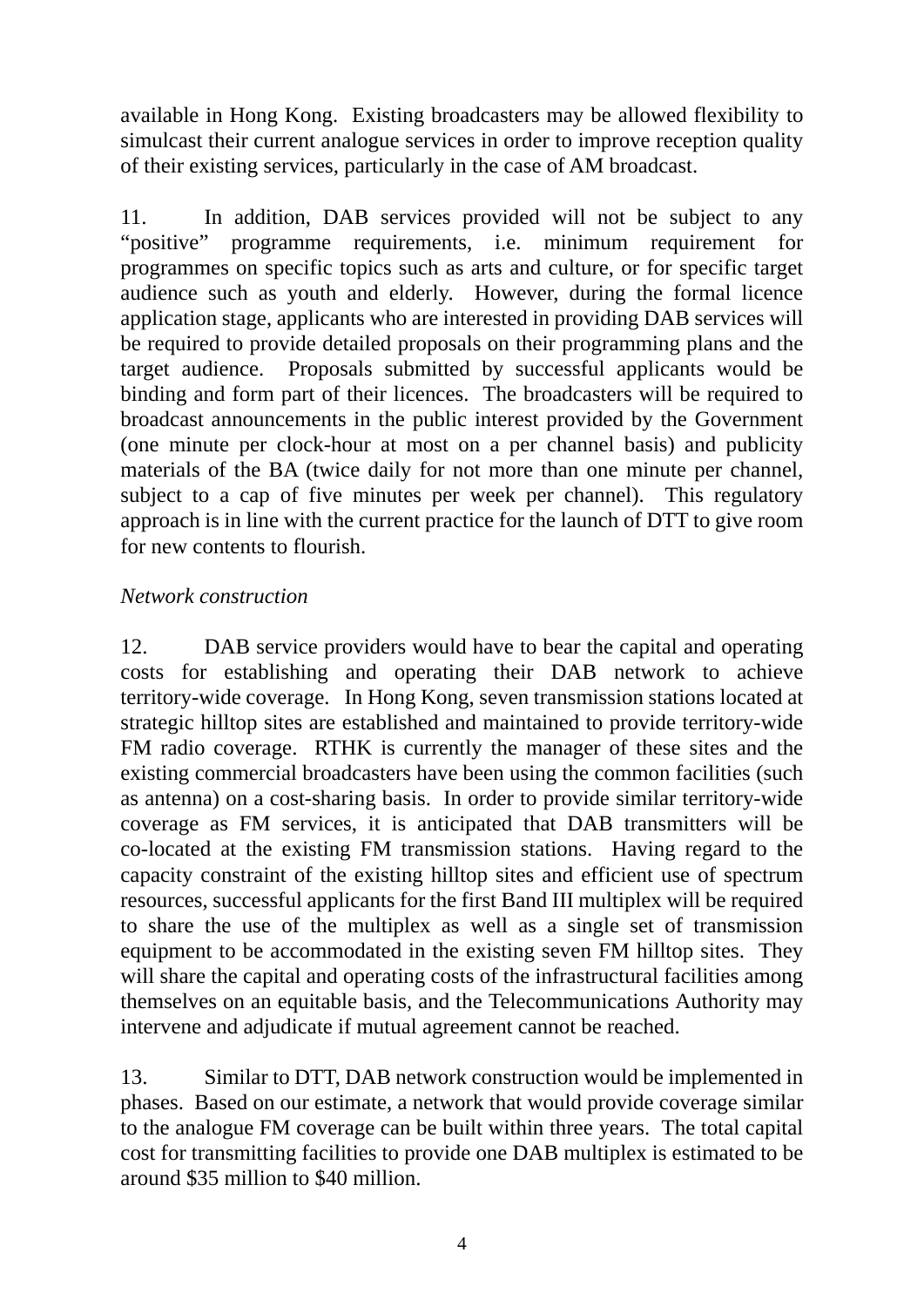available in Hong Kong. Existing broadcasters may be allowed flexibility to simulcast their current analogue services in order to improve reception quality of their existing services, particularly in the case of AM broadcast.

11. In addition, DAB services provided will not be subject to any "positive" programme requirements, i.e. minimum requirement for programmes on specific topics such as arts and culture, or for specific target audience such as youth and elderly. However, during the formal licence application stage, applicants who are interested in providing DAB services will be required to provide detailed proposals on their programming plans and the target audience. Proposals submitted by successful applicants would be binding and form part of their licences. The broadcasters will be required to broadcast announcements in the public interest provided by the Government (one minute per clock-hour at most on a per channel basis) and publicity materials of the BA (twice daily for not more than one minute per channel, subject to a cap of five minutes per week per channel). This regulatory approach is in line with the current practice for the launch of DTT to give room for new contents to flourish.

# *Network construction*

12. DAB service providers would have to bear the capital and operating costs for establishing and operating their DAB network to achieve territory-wide coverage. In Hong Kong, seven transmission stations located at strategic hilltop sites are established and maintained to provide territory-wide FM radio coverage. RTHK is currently the manager of these sites and the existing commercial broadcasters have been using the common facilities (such as antenna) on a cost-sharing basis. In order to provide similar territory-wide coverage as FM services, it is anticipated that DAB transmitters will be co-located at the existing FM transmission stations. Having regard to the capacity constraint of the existing hilltop sites and efficient use of spectrum resources, successful applicants for the first Band III multiplex will be required to share the use of the multiplex as well as a single set of transmission equipment to be accommodated in the existing seven FM hilltop sites. They will share the capital and operating costs of the infrastructural facilities among themselves on an equitable basis, and the Telecommunications Authority may intervene and adjudicate if mutual agreement cannot be reached.

13. Similar to DTT, DAB network construction would be implemented in phases. Based on our estimate, a network that would provide coverage similar to the analogue FM coverage can be built within three years. The total capital cost for transmitting facilities to provide one DAB multiplex is estimated to be around \$35 million to \$40 million.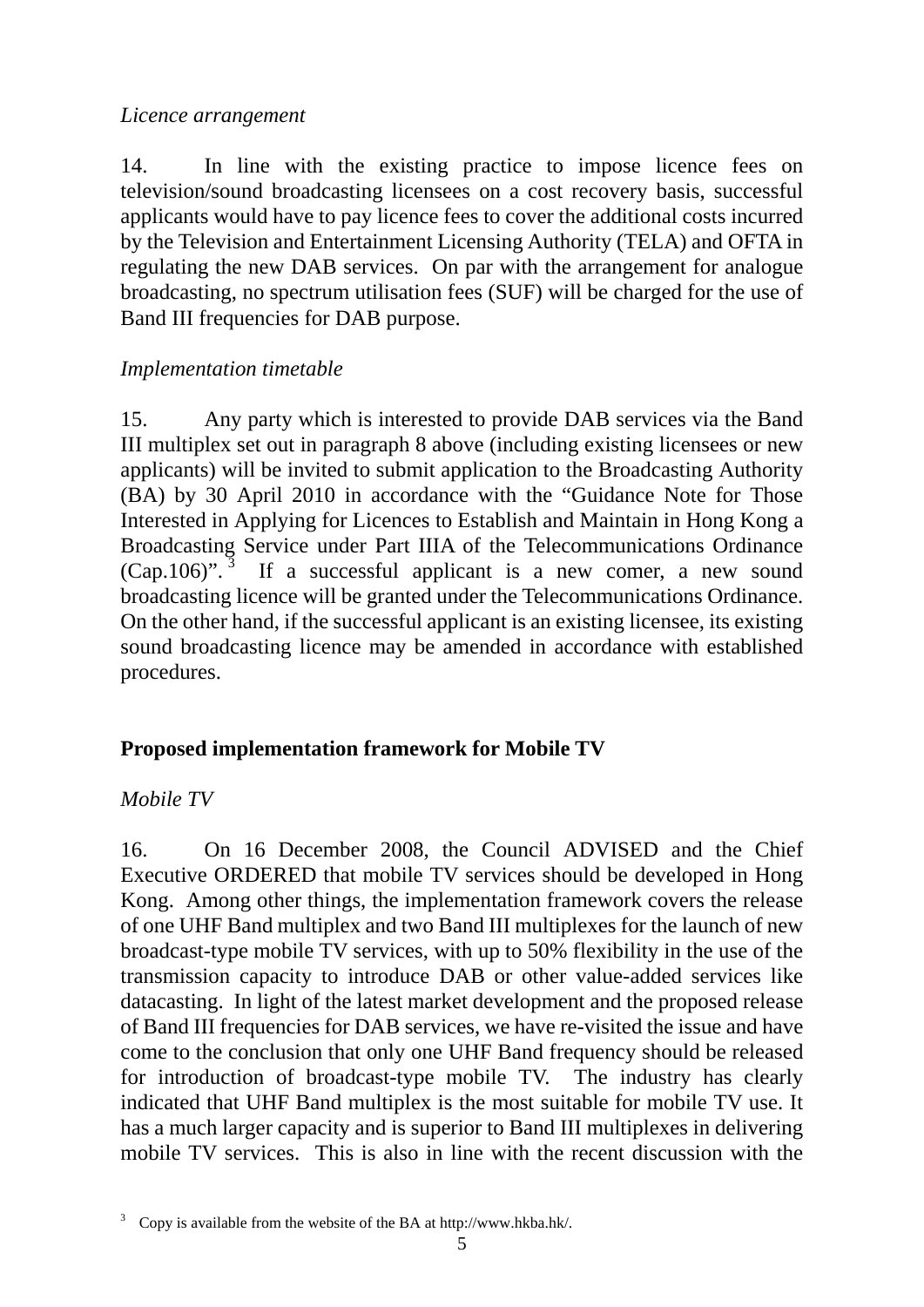### *Licence arrangement*

14. In line with the existing practice to impose licence fees on television/sound broadcasting licensees on a cost recovery basis, successful applicants would have to pay licence fees to cover the additional costs incurred by the Television and Entertainment Licensing Authority (TELA) and OFTA in regulating the new DAB services. On par with the arrangement for analogue broadcasting, no spectrum utilisation fees (SUF) will be charged for the use of Band III frequencies for DAB purpose.

### *Implementation timetable*

15. Any party which is interested to provide DAB services via the Band III multiplex set out in paragraph 8 above (including existing licensees or new applicants) will be invited to submit application to the Broadcasting Authority (BA) by 30 April 2010 in accordance with the "Guidance Note for Those Interested in Applying for Licences to Establish and Maintain in Hong Kong a Broadcasting Service under Part IIIA of the Telecommunications Ordinance  $(Cap.106)$ ".<sup>3</sup> If a successful applicant is a new comer, a new sound broadcasting licence will be granted under the Telecommunications Ordinance. On the other hand, if the successful applicant is an existing licensee, its existing sound broadcasting licence may be amended in accordance with established procedures.

# **Proposed implementation framework for Mobile TV**

# *Mobile TV*

16. On 16 December 2008, the Council ADVISED and the Chief Executive ORDERED that mobile TV services should be developed in Hong Kong. Among other things, the implementation framework covers the release of one UHF Band multiplex and two Band III multiplexes for the launch of new broadcast-type mobile TV services, with up to 50% flexibility in the use of the transmission capacity to introduce DAB or other value-added services like datacasting. In light of the latest market development and the proposed release of Band III frequencies for DAB services, we have re-visited the issue and have come to the conclusion that only one UHF Band frequency should be released for introduction of broadcast-type mobile TV. The industry has clearly indicated that UHF Band multiplex is the most suitable for mobile TV use. It has a much larger capacity and is superior to Band III multiplexes in delivering mobile TV services. This is also in line with the recent discussion with the

<sup>3</sup> Copy is available from the website of the BA at http://www.hkba.hk/.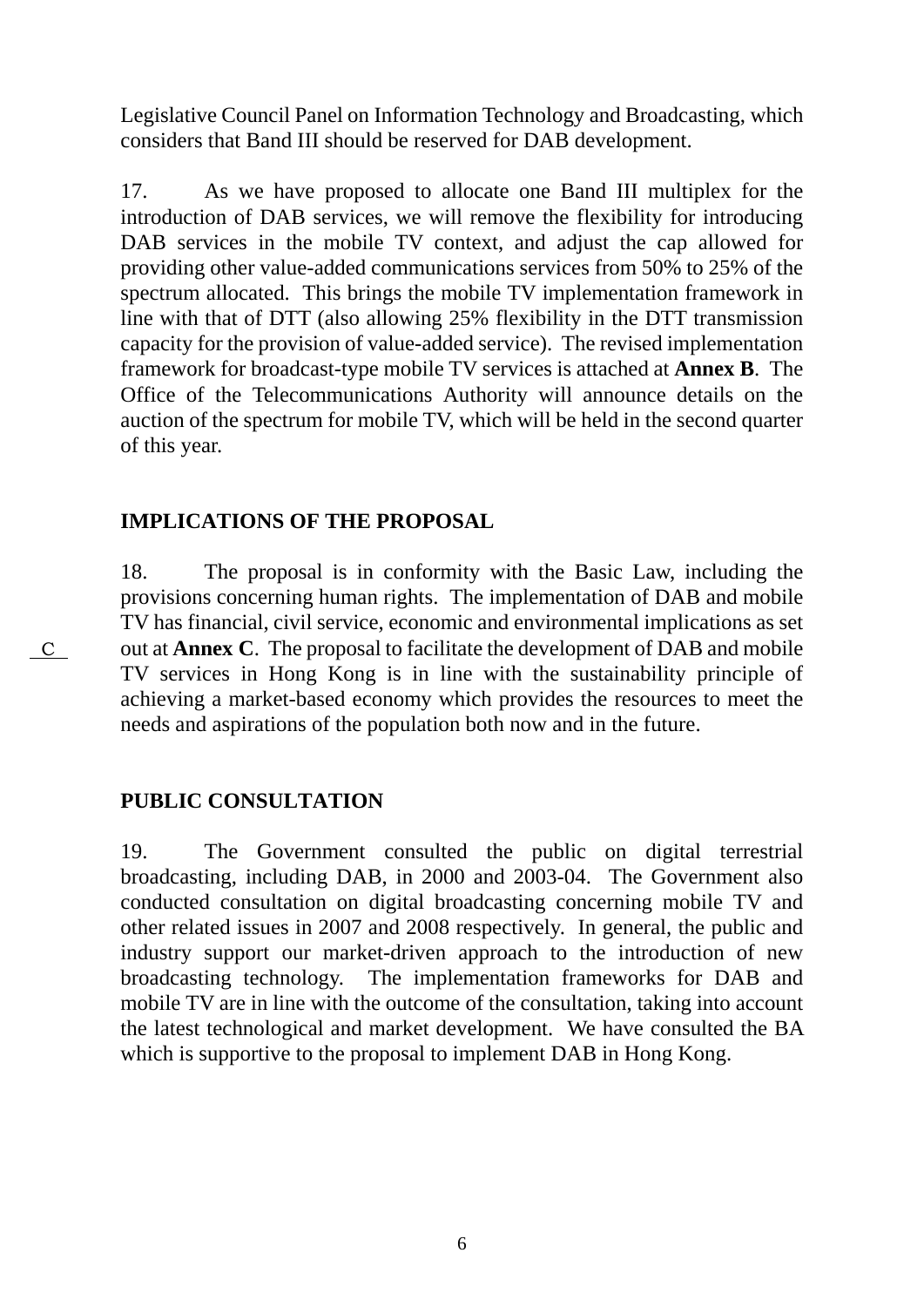Legislative Council Panel on Information Technology and Broadcasting, which considers that Band III should be reserved for DAB development.

17. As we have proposed to allocate one Band III multiplex for the introduction of DAB services, we will remove the flexibility for introducing DAB services in the mobile TV context, and adjust the cap allowed for providing other value-added communications services from 50% to 25% of the spectrum allocated. This brings the mobile TV implementation framework in line with that of DTT (also allowing 25% flexibility in the DTT transmission capacity for the provision of value-added service). The revised implementation framework for broadcast-type mobile TV services is attached at **Annex B**. The Office of the Telecommunications Authority will announce details on the auction of the spectrum for mobile TV, which will be held in the second quarter of this year.

### **IMPLICATIONS OF THE PROPOSAL**

18. The proposal is in conformity with the Basic Law, including the provisions concerning human rights. The implementation of DAB and mobile TV has financial, civil service, economic and environmental implications as set out at **Annex C**. The proposal to facilitate the development of DAB and mobile TV services in Hong Kong is in line with the sustainability principle of achieving a market-based economy which provides the resources to meet the needs and aspirations of the population both now and in the future.

# **PUBLIC CONSULTATION**

 $\overline{C}$ 

19. The Government consulted the public on digital terrestrial broadcasting, including DAB, in 2000 and 2003-04. The Government also conducted consultation on digital broadcasting concerning mobile TV and other related issues in 2007 and 2008 respectively. In general, the public and industry support our market-driven approach to the introduction of new broadcasting technology. The implementation frameworks for DAB and mobile TV are in line with the outcome of the consultation, taking into account the latest technological and market development. We have consulted the BA which is supportive to the proposal to implement DAB in Hong Kong.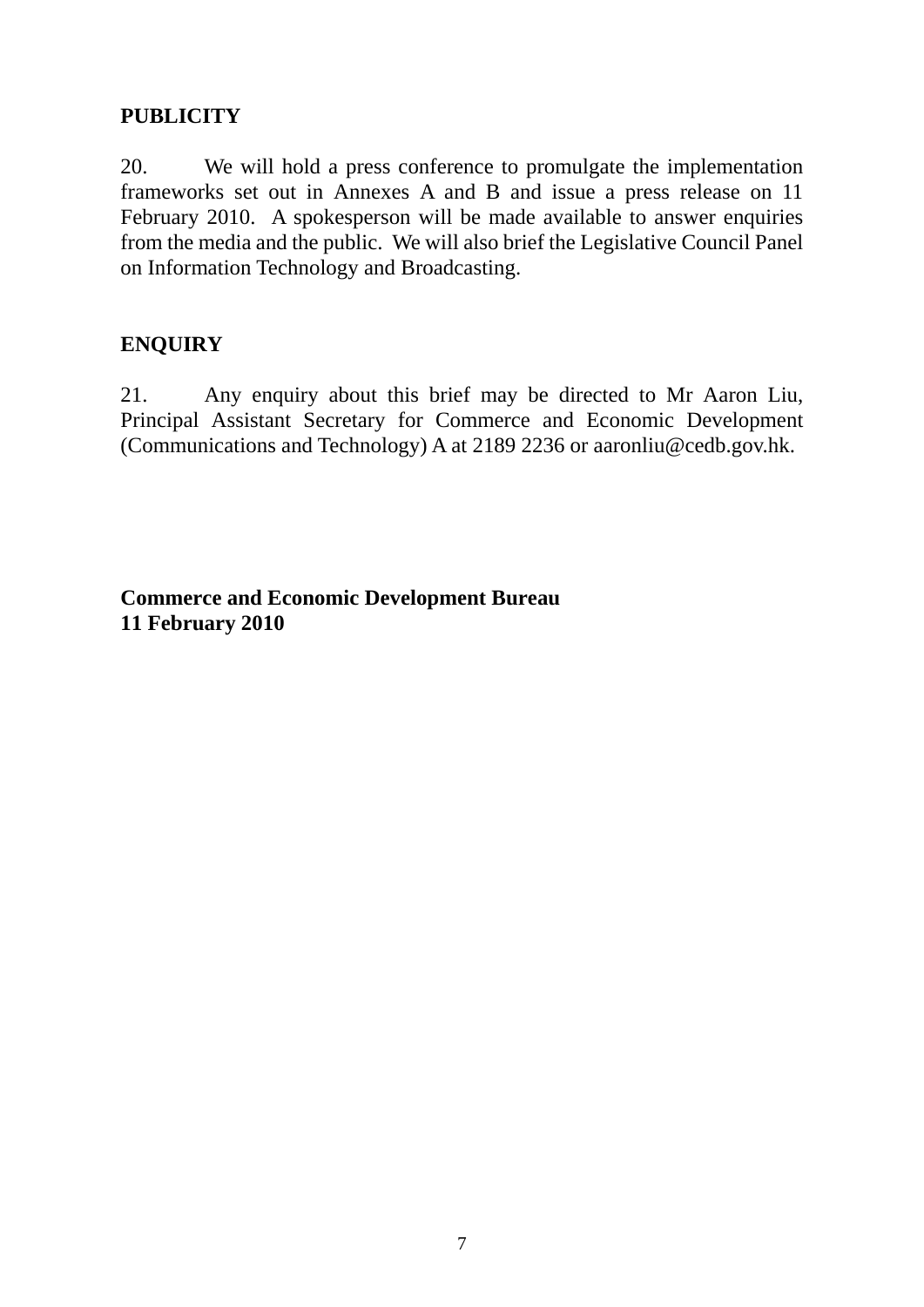# **PUBLICITY**

20. We will hold a press conference to promulgate the implementation frameworks set out in Annexes A and B and issue a press release on 11 February 2010. A spokesperson will be made available to answer enquiries from the media and the public. We will also brief the Legislative Council Panel on Information Technology and Broadcasting.

# **ENQUIRY**

21. Any enquiry about this brief may be directed to Mr Aaron Liu, Principal Assistant Secretary for Commerce and Economic Development (Communications and Technology) A at 2189 2236 or aaronliu@cedb.gov.hk.

**Commerce and Economic Development Bureau 11 February 2010**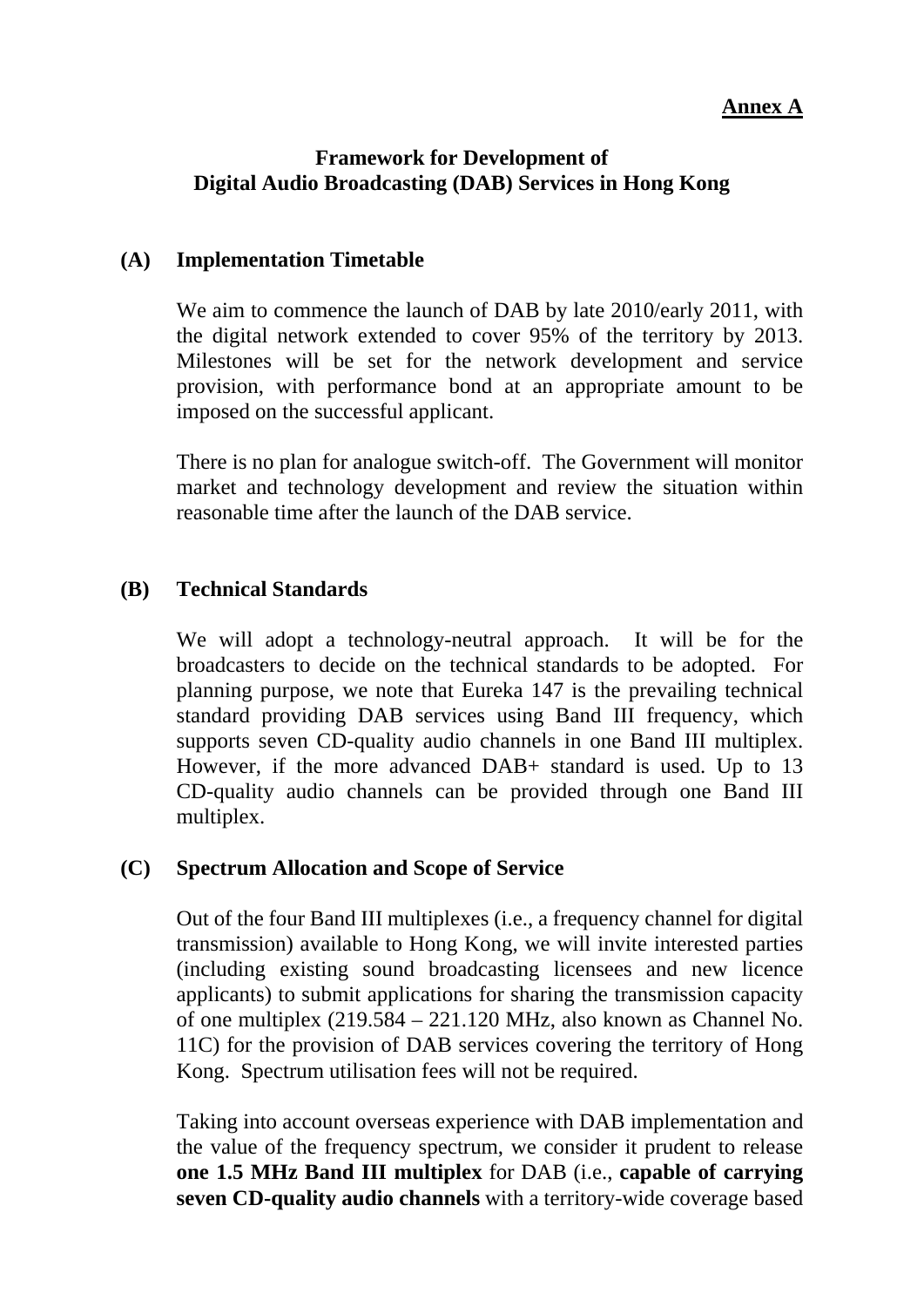### **Annex A**

### **Framework for Development of Digital Audio Broadcasting (DAB) Services in Hong Kong**

### **(A) Implementation Timetable**

We aim to commence the launch of DAB by late 2010/early 2011, with the digital network extended to cover 95% of the territory by 2013. Milestones will be set for the network development and service provision, with performance bond at an appropriate amount to be imposed on the successful applicant.

There is no plan for analogue switch-off. The Government will monitor market and technology development and review the situation within reasonable time after the launch of the DAB service.

### **(B) Technical Standards**

We will adopt a technology-neutral approach. It will be for the broadcasters to decide on the technical standards to be adopted. For planning purpose, we note that Eureka 147 is the prevailing technical standard providing DAB services using Band III frequency, which supports seven CD-quality audio channels in one Band III multiplex. However, if the more advanced DAB+ standard is used. Up to 13 CD-quality audio channels can be provided through one Band III multiplex.

#### **(C) Spectrum Allocation and Scope of Service**

Out of the four Band III multiplexes (i.e., a frequency channel for digital transmission) available to Hong Kong, we will invite interested parties (including existing sound broadcasting licensees and new licence applicants) to submit applications for sharing the transmission capacity of one multiplex (219.584 – 221.120 MHz, also known as Channel No. 11C) for the provision of DAB services covering the territory of Hong Kong. Spectrum utilisation fees will not be required.

Taking into account overseas experience with DAB implementation and the value of the frequency spectrum, we consider it prudent to release **one 1.5 MHz Band III multiplex** for DAB (i.e., **capable of carrying seven CD-quality audio channels** with a territory-wide coverage based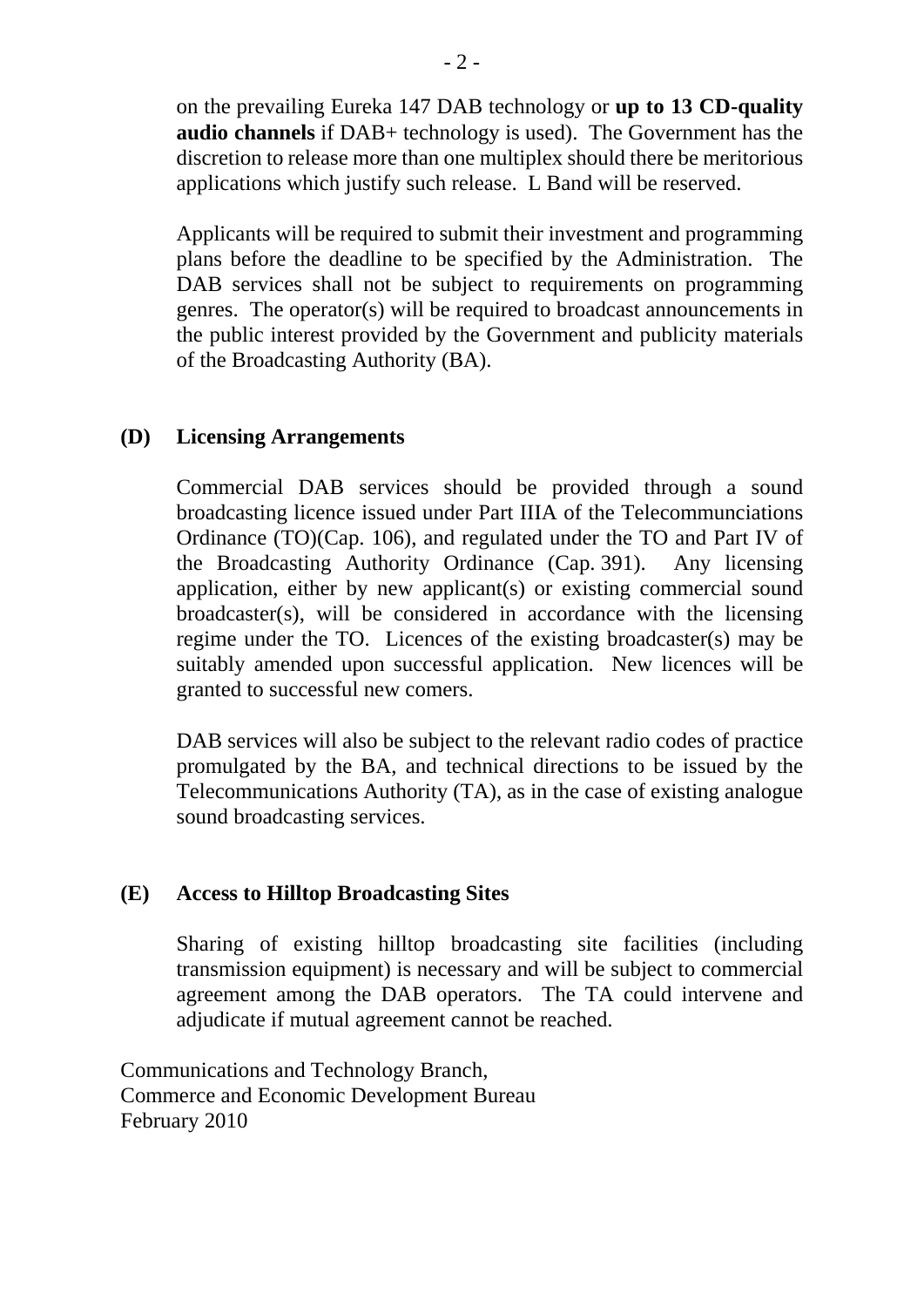on the prevailing Eureka 147 DAB technology or **up to 13 CD-quality audio channels** if DAB+ technology is used). The Government has the discretion to release more than one multiplex should there be meritorious applications which justify such release. L Band will be reserved.

Applicants will be required to submit their investment and programming plans before the deadline to be specified by the Administration. The DAB services shall not be subject to requirements on programming genres. The operator(s) will be required to broadcast announcements in the public interest provided by the Government and publicity materials of the Broadcasting Authority (BA).

### **(D) Licensing Arrangements**

Commercial DAB services should be provided through a sound broadcasting licence issued under Part IIIA of the Telecommunciations Ordinance (TO)(Cap. 106), and regulated under the TO and Part IV of the Broadcasting Authority Ordinance (Cap. 391). Any licensing application, either by new applicant(s) or existing commercial sound broadcaster(s), will be considered in accordance with the licensing regime under the TO. Licences of the existing broadcaster(s) may be suitably amended upon successful application. New licences will be granted to successful new comers.

DAB services will also be subject to the relevant radio codes of practice promulgated by the BA, and technical directions to be issued by the Telecommunications Authority (TA), as in the case of existing analogue sound broadcasting services.

#### **(E) Access to Hilltop Broadcasting Sites**

Sharing of existing hilltop broadcasting site facilities (including transmission equipment) is necessary and will be subject to commercial agreement among the DAB operators. The TA could intervene and adjudicate if mutual agreement cannot be reached.

Communications and Technology Branch, Commerce and Economic Development Bureau February 2010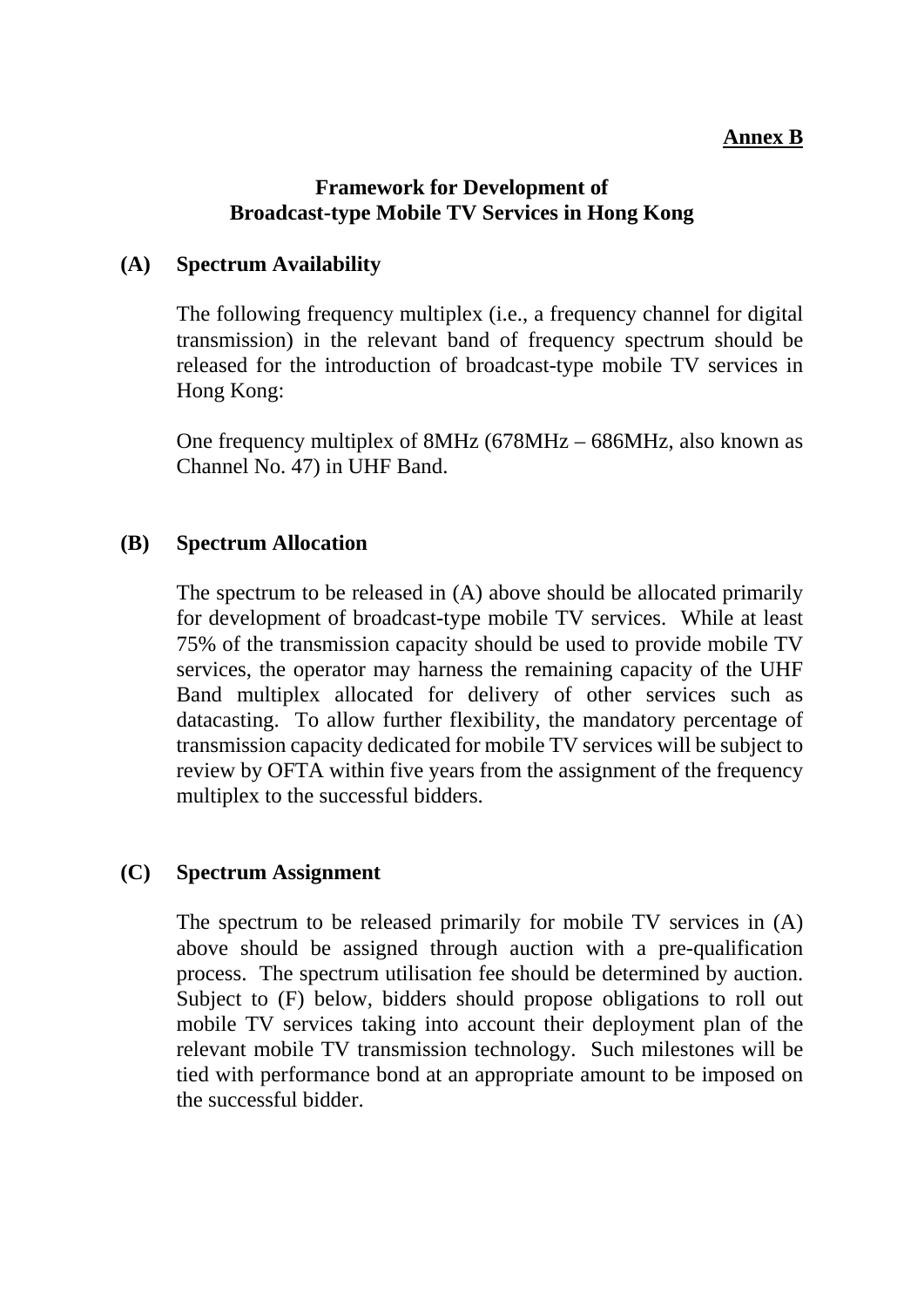### **Annex B**

### **Framework for Development of Broadcast-type Mobile TV Services in Hong Kong**

### **(A) Spectrum Availability**

The following frequency multiplex (i.e., a frequency channel for digital transmission) in the relevant band of frequency spectrum should be released for the introduction of broadcast-type mobile TV services in Hong Kong:

One frequency multiplex of 8MHz (678MHz – 686MHz, also known as Channel No. 47) in UHF Band.

### **(B) Spectrum Allocation**

The spectrum to be released in (A) above should be allocated primarily for development of broadcast-type mobile TV services. While at least 75% of the transmission capacity should be used to provide mobile TV services, the operator may harness the remaining capacity of the UHF Band multiplex allocated for delivery of other services such as datacasting. To allow further flexibility, the mandatory percentage of transmission capacity dedicated for mobile TV services will be subject to review by OFTA within five years from the assignment of the frequency multiplex to the successful bidders.

#### **(C) Spectrum Assignment**

The spectrum to be released primarily for mobile TV services in (A) above should be assigned through auction with a pre-qualification process. The spectrum utilisation fee should be determined by auction. Subject to (F) below, bidders should propose obligations to roll out mobile TV services taking into account their deployment plan of the relevant mobile TV transmission technology. Such milestones will be tied with performance bond at an appropriate amount to be imposed on the successful bidder.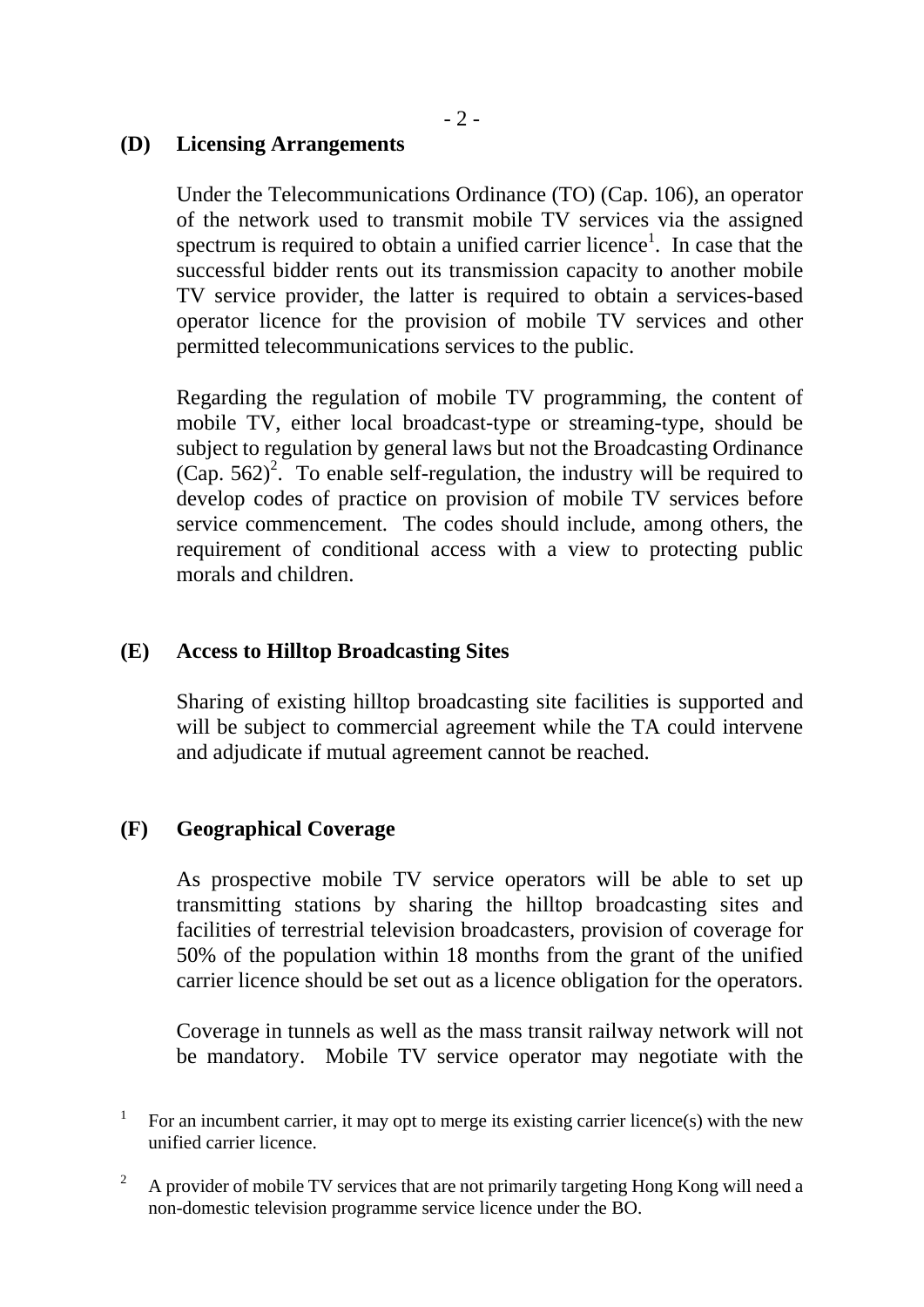### **(D) Licensing Arrangements**

Under the Telecommunications Ordinance (TO) (Cap. 106), an operator of the network used to transmit mobile TV services via the assigned spectrum is required to obtain a unified carrier licence<sup>1</sup>. In case that the successful bidder rents out its transmission capacity to another mobile TV service provider, the latter is required to obtain a services-based operator licence for the provision of mobile TV services and other permitted telecommunications services to the public.

Regarding the regulation of mobile TV programming, the content of mobile TV, either local broadcast-type or streaming-type, should be subject to regulation by general laws but not the Broadcasting Ordinance  $(Cap. 562)^2$ . To enable self-regulation, the industry will be required to develop codes of practice on provision of mobile TV services before service commencement. The codes should include, among others, the requirement of conditional access with a view to protecting public morals and children.

### **(E) Access to Hilltop Broadcasting Sites**

Sharing of existing hilltop broadcasting site facilities is supported and will be subject to commercial agreement while the TA could intervene and adjudicate if mutual agreement cannot be reached.

### **(F) Geographical Coverage**

As prospective mobile TV service operators will be able to set up transmitting stations by sharing the hilltop broadcasting sites and facilities of terrestrial television broadcasters, provision of coverage for 50% of the population within 18 months from the grant of the unified carrier licence should be set out as a licence obligation for the operators.

Coverage in tunnels as well as the mass transit railway network will not be mandatory. Mobile TV service operator may negotiate with the

1 For an incumbent carrier, it may opt to merge its existing carrier licence(s) with the new unified carrier licence.

 $\overline{2}$  A provider of mobile TV services that are not primarily targeting Hong Kong will need a non-domestic television programme service licence under the BO.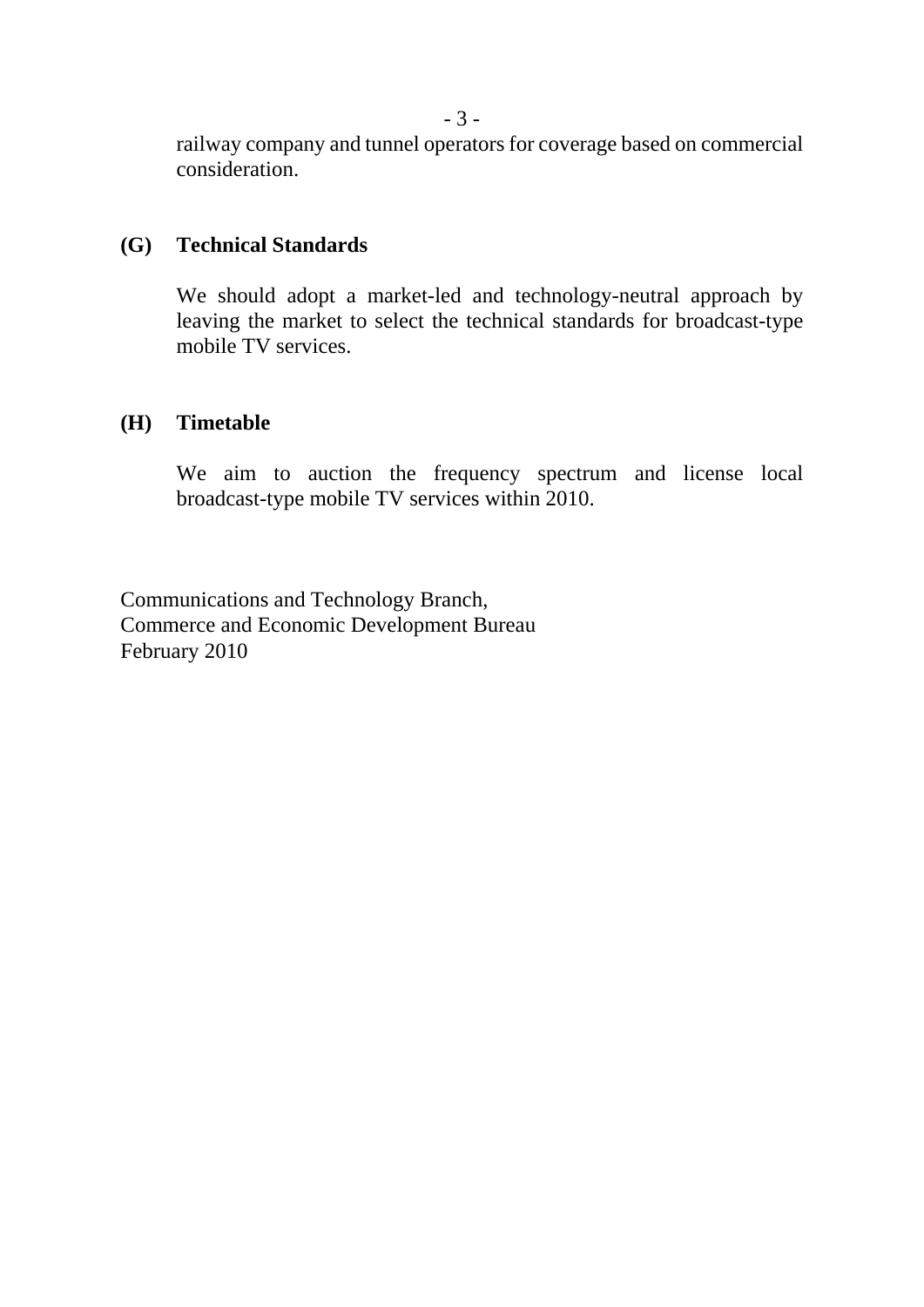railway company and tunnel operators for coverage based on commercial consideration.

#### **(G) Technical Standards**

We should adopt a market-led and technology-neutral approach by leaving the market to select the technical standards for broadcast-type mobile TV services.

### **(H) Timetable**

We aim to auction the frequency spectrum and license local broadcast-type mobile TV services within 2010.

Communications and Technology Branch, Commerce and Economic Development Bureau February 2010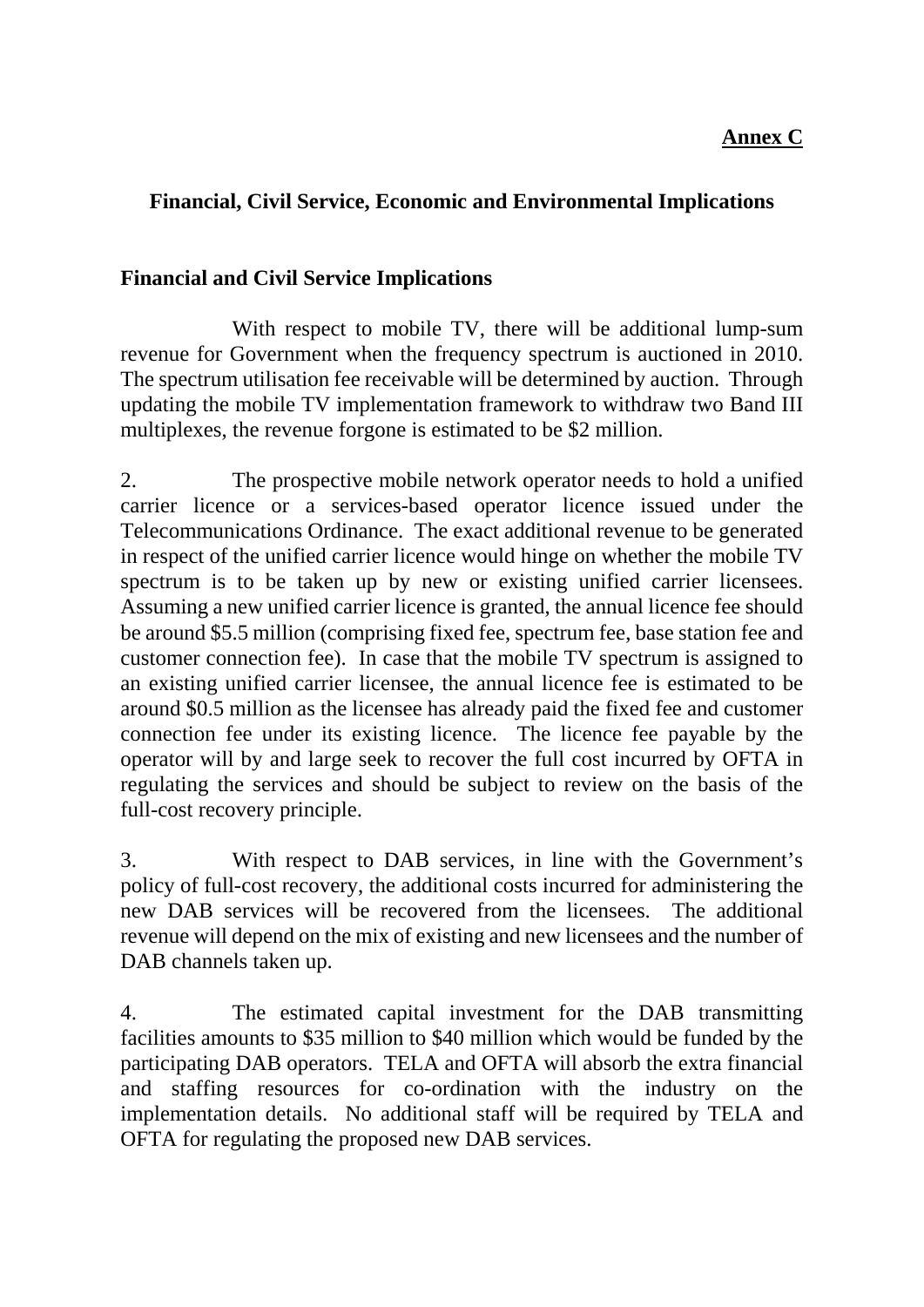# **Annex C**

# **Financial, Civil Service, Economic and Environmental Implications**

### **Financial and Civil Service Implications**

 With respect to mobile TV, there will be additional lump-sum revenue for Government when the frequency spectrum is auctioned in 2010. The spectrum utilisation fee receivable will be determined by auction. Through updating the mobile TV implementation framework to withdraw two Band III multiplexes, the revenue forgone is estimated to be \$2 million.

2. The prospective mobile network operator needs to hold a unified carrier licence or a services-based operator licence issued under the Telecommunications Ordinance. The exact additional revenue to be generated in respect of the unified carrier licence would hinge on whether the mobile TV spectrum is to be taken up by new or existing unified carrier licensees. Assuming a new unified carrier licence is granted, the annual licence fee should be around \$5.5 million (comprising fixed fee, spectrum fee, base station fee and customer connection fee). In case that the mobile TV spectrum is assigned to an existing unified carrier licensee, the annual licence fee is estimated to be around \$0.5 million as the licensee has already paid the fixed fee and customer connection fee under its existing licence. The licence fee payable by the operator will by and large seek to recover the full cost incurred by OFTA in regulating the services and should be subject to review on the basis of the full-cost recovery principle.

3. With respect to DAB services, in line with the Government's policy of full-cost recovery, the additional costs incurred for administering the new DAB services will be recovered from the licensees. The additional revenue will depend on the mix of existing and new licensees and the number of DAB channels taken up.

4. The estimated capital investment for the DAB transmitting facilities amounts to \$35 million to \$40 million which would be funded by the participating DAB operators. TELA and OFTA will absorb the extra financial and staffing resources for co-ordination with the industry on the implementation details. No additional staff will be required by TELA and OFTA for regulating the proposed new DAB services.